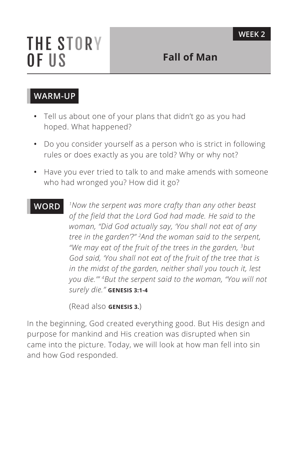# **THE STORY** OF US

# **WARM-UP**

- **•** Tell us about one of your plans that didn't go as you had hoped. What happened?
- **•** Do you consider yourself as a person who is strict in following rules or does exactly as you are told? Why or why not?
- **•** Have you ever tried to talk to and make amends with someone who had wronged you? How did it go?

**WORD** *1Now the serpent was more crafty than any other beast of the field that the Lord God had made. He said to the woman, "Did God actually say, 'You shall not eat of any tree in the garden'?" 2And the woman said to the serpent, "We may eat of the fruit of the trees in the garden, 3but God said, 'You shall not eat of the fruit of the tree that is in the midst of the garden, neither shall you touch it, lest you die.'" 4But the serpent said to the woman, "You will not surely die." ^***GENESIS 3:1-4**

(Read also **GENESIS 3.**)

In the beginning, God created everything good. But His design and purpose for mankind and His creation was disrupted when sin came into the picture. Today, we will look at how man fell into sin and how God responded.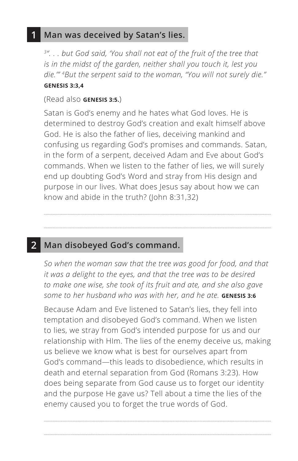#### **1 Man was deceived by Satan's lies.**

*3". . . but God said, 'You shall not eat of the fruit of the tree that is in the midst of the garden, neither shall you touch it, lest you die.'" 4But the serpent said to the woman, "You will not surely die." ^***GENESIS 3:3,4**

#### (Read also **^GENESIS 3:5.**)

Satan is God's enemy and he hates what God loves. He is determined to destroy God's creation and exalt himself above God. He is also the father of lies, deceiving mankind and confusing us regarding God's promises and commands. Satan, in the form of a serpent, deceived Adam and Eve about God's commands. When we listen to the father of lies, we will surely end up doubting God's Word and stray from His design and purpose in our lives. What does Jesus say about how we can know and abide in the truth? (John 8:31,32)

## **2 Man disobeyed God's command.**

*So when the woman saw that the tree was good for food, and that it was a delight to the eyes, and that the tree was to be desired to make one wise, she took of its fruit and ate, and she also gave some to her husband who was with her, and he ate. ^***GENESIS 3:6**

Because Adam and Eve listened to Satan's lies, they fell into temptation and disobeyed God's command. When we listen to lies, we stray from God's intended purpose for us and our relationship with HIm. The lies of the enemy deceive us, making us believe we know what is best for ourselves apart from God's command—this leads to disobedience, which results in death and eternal separation from God (Romans 3:23). How does being separate from God cause us to forget our identity and the purpose He gave us? Tell about a time the lies of the enemy caused you to forget the true words of God.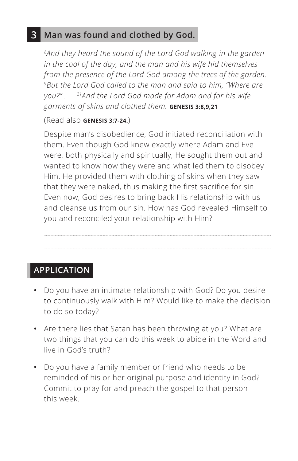### **3 Man was found and clothed by God.**

*8And they heard the sound of the Lord God walking in the garden in the cool of the day, and the man and his wife hid themselves from the presence of the Lord God among the trees of the garden. 9But the Lord God called to the man and said to him, "Where are you?" . . . 21And the Lord God made for Adam and for his wife garments of skins and clothed them. ^***GENESIS 3:8,9,21**

#### (Read also **GENESIS 3:7-24.**)

Despite man's disobedience, God initiated reconciliation with them. Even though God knew exactly where Adam and Eve were, both physically and spiritually, He sought them out and wanted to know how they were and what led them to disobey Him. He provided them with clothing of skins when they saw that they were naked, thus making the first sacrifice for sin. Even now, God desires to bring back His relationship with us and cleanse us from our sin. How has God revealed Himself to you and reconciled your relationship with Him?

# **APPLICATION**

- **•** Do you have an intimate relationship with God? Do you desire to continuously walk with Him? Would like to make the decision to do so today?
- **•** Are there lies that Satan has been throwing at you? What are two things that you can do this week to abide in the Word and live in God's truth?
- **•** Do you have a family member or friend who needs to be reminded of his or her original purpose and identity in God? Commit to pray for and preach the gospel to that person this week.